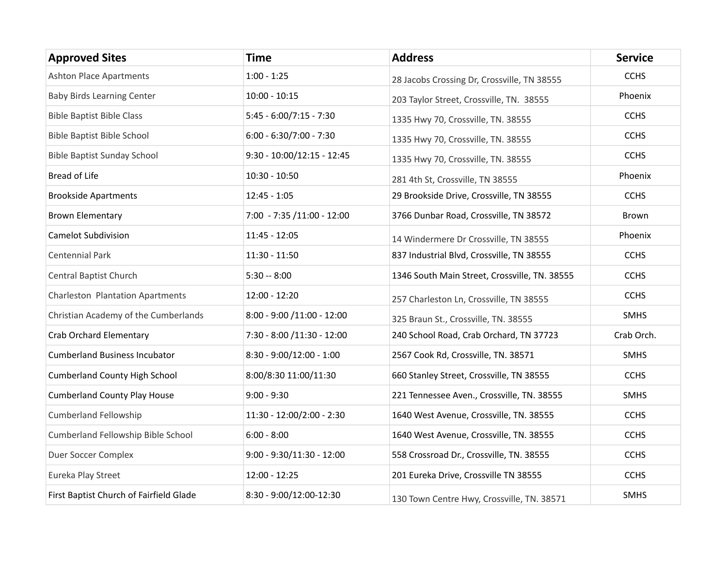| <b>Approved Sites</b>                   | <b>Time</b>                   | <b>Address</b>                                | <b>Service</b> |
|-----------------------------------------|-------------------------------|-----------------------------------------------|----------------|
| <b>Ashton Place Apartments</b>          | $1:00 - 1:25$                 | 28 Jacobs Crossing Dr, Crossville, TN 38555   | <b>CCHS</b>    |
| <b>Baby Birds Learning Center</b>       | $10:00 - 10:15$               | 203 Taylor Street, Crossville, TN. 38555      | Phoenix        |
| <b>Bible Baptist Bible Class</b>        | $5:45 - 6:00/7:15 - 7:30$     | 1335 Hwy 70, Crossville, TN. 38555            | <b>CCHS</b>    |
| <b>Bible Baptist Bible School</b>       | $6:00 - 6:30/7:00 - 7:30$     | 1335 Hwy 70, Crossville, TN. 38555            | <b>CCHS</b>    |
| <b>Bible Baptist Sunday School</b>      | $9:30 - 10:00/12:15 - 12:45$  | 1335 Hwy 70, Crossville, TN. 38555            | <b>CCHS</b>    |
| <b>Bread of Life</b>                    | $10:30 - 10:50$               | 281 4th St, Crossville, TN 38555              | Phoenix        |
| <b>Brookside Apartments</b>             | $12:45 - 1:05$                | 29 Brookside Drive, Crossville, TN 38555      | <b>CCHS</b>    |
| <b>Brown Elementary</b>                 | 7:00 - 7:35 /11:00 - 12:00    | 3766 Dunbar Road, Crossville, TN 38572        | Brown          |
| <b>Camelot Subdivision</b>              | $11:45 - 12:05$               | 14 Windermere Dr Crossville, TN 38555         | Phoenix        |
| Centennial Park                         | $11:30 - 11:50$               | 837 Industrial Blvd, Crossville, TN 38555     | <b>CCHS</b>    |
| Central Baptist Church                  | $5:30 - 8:00$                 | 1346 South Main Street, Crossville, TN. 38555 | <b>CCHS</b>    |
| Charleston Plantation Apartments        | $12:00 - 12:20$               | 257 Charleston Ln, Crossville, TN 38555       | <b>CCHS</b>    |
| Christian Academy of the Cumberlands    | $8:00 - 9:00 / 11:00 - 12:00$ | 325 Braun St., Crossville, TN. 38555          | <b>SMHS</b>    |
| <b>Crab Orchard Elementary</b>          | 7:30 - 8:00 /11:30 - 12:00    | 240 School Road, Crab Orchard, TN 37723       | Crab Orch.     |
| <b>Cumberland Business Incubator</b>    | $8:30 - 9:00/12:00 - 1:00$    | 2567 Cook Rd, Crossville, TN. 38571           | <b>SMHS</b>    |
| <b>Cumberland County High School</b>    | 8:00/8:30 11:00/11:30         | 660 Stanley Street, Crossville, TN 38555      | <b>CCHS</b>    |
| <b>Cumberland County Play House</b>     | $9:00 - 9:30$                 | 221 Tennessee Aven., Crossville, TN. 38555    | <b>SMHS</b>    |
| <b>Cumberland Fellowship</b>            | 11:30 - 12:00/2:00 - 2:30     | 1640 West Avenue, Crossville, TN. 38555       | <b>CCHS</b>    |
| Cumberland Fellowship Bible School      | $6:00 - 8:00$                 | 1640 West Avenue, Crossville, TN. 38555       | <b>CCHS</b>    |
| Duer Soccer Complex                     | $9:00 - 9:30/11:30 - 12:00$   | 558 Crossroad Dr., Crossville, TN. 38555      | <b>CCHS</b>    |
| Eureka Play Street                      | $12:00 - 12:25$               | 201 Eureka Drive, Crossville TN 38555         | <b>CCHS</b>    |
| First Baptist Church of Fairfield Glade | 8:30 - 9:00/12:00-12:30       | 130 Town Centre Hwy, Crossville, TN. 38571    | <b>SMHS</b>    |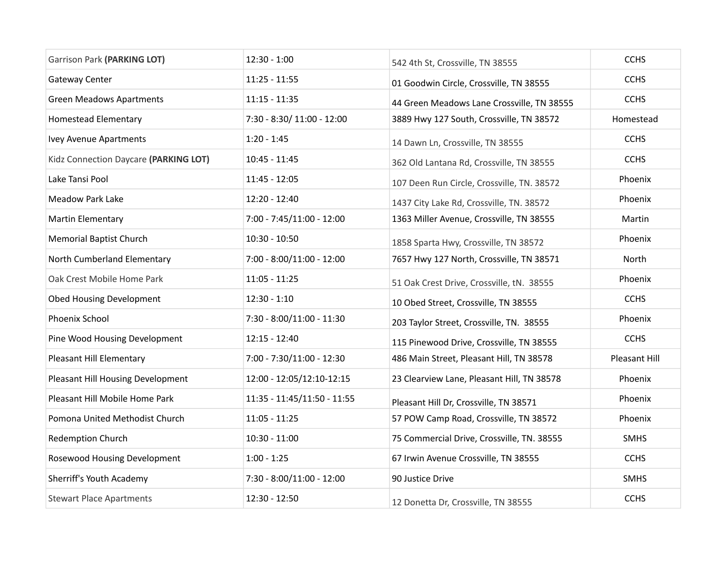| Garrison Park (PARKING LOT)           | $12:30 - 1:00$              | 542 4th St, Crossville, TN 38555           | <b>CCHS</b>   |
|---------------------------------------|-----------------------------|--------------------------------------------|---------------|
| Gateway Center                        | $11:25 - 11:55$             | 01 Goodwin Circle, Crossville, TN 38555    | <b>CCHS</b>   |
| <b>Green Meadows Apartments</b>       | $11:15 - 11:35$             | 44 Green Meadows Lane Crossville, TN 38555 | <b>CCHS</b>   |
| <b>Homestead Elementary</b>           | 7:30 - 8:30/ 11:00 - 12:00  | 3889 Hwy 127 South, Crossville, TN 38572   | Homestead     |
| Ivey Avenue Apartments                | $1:20 - 1:45$               | 14 Dawn Ln, Crossville, TN 38555           | <b>CCHS</b>   |
| Kidz Connection Daycare (PARKING LOT) | $10:45 - 11:45$             | 362 Old Lantana Rd, Crossville, TN 38555   | <b>CCHS</b>   |
| Lake Tansi Pool                       | 11:45 - 12:05               | 107 Deen Run Circle, Crossville, TN. 38572 | Phoenix       |
| Meadow Park Lake                      | 12:20 - 12:40               | 1437 City Lake Rd, Crossville, TN. 38572   | Phoenix       |
| <b>Martin Elementary</b>              | 7:00 - 7:45/11:00 - 12:00   | 1363 Miller Avenue, Crossville, TN 38555   | Martin        |
| <b>Memorial Baptist Church</b>        | $10:30 - 10:50$             | 1858 Sparta Hwy, Crossville, TN 38572      | Phoenix       |
| North Cumberland Elementary           | $7:00 - 8:00/11:00 - 12:00$ | 7657 Hwy 127 North, Crossville, TN 38571   | North         |
| Oak Crest Mobile Home Park            | $11:05 - 11:25$             | 51 Oak Crest Drive, Crossville, tN. 38555  | Phoenix       |
| <b>Obed Housing Development</b>       | $12:30 - 1:10$              | 10 Obed Street, Crossville, TN 38555       | <b>CCHS</b>   |
| Phoenix School                        | 7:30 - 8:00/11:00 - 11:30   | 203 Taylor Street, Crossville, TN. 38555   | Phoenix       |
| Pine Wood Housing Development         | $12:15 - 12:40$             | 115 Pinewood Drive, Crossville, TN 38555   | <b>CCHS</b>   |
| Pleasant Hill Elementary              | 7:00 - 7:30/11:00 - 12:30   | 486 Main Street, Pleasant Hill, TN 38578   | Pleasant Hill |
| Pleasant Hill Housing Development     | 12:00 - 12:05/12:10-12:15   | 23 Clearview Lane, Pleasant Hill, TN 38578 | Phoenix       |
| Pleasant Hill Mobile Home Park        | 11:35 - 11:45/11:50 - 11:55 | Pleasant Hill Dr, Crossville, TN 38571     | Phoenix       |
| Pomona United Methodist Church        | $11:05 - 11:25$             | 57 POW Camp Road, Crossville, TN 38572     | Phoenix       |
| Redemption Church                     | $10:30 - 11:00$             | 75 Commercial Drive, Crossville, TN. 38555 | <b>SMHS</b>   |
| Rosewood Housing Development          | $1:00 - 1:25$               | 67 Irwin Avenue Crossville, TN 38555       | <b>CCHS</b>   |
| Sherriff's Youth Academy              | 7:30 - 8:00/11:00 - 12:00   | 90 Justice Drive                           | <b>SMHS</b>   |
| <b>Stewart Place Apartments</b>       | $12:30 - 12:50$             | 12 Donetta Dr, Crossville, TN 38555        | <b>CCHS</b>   |